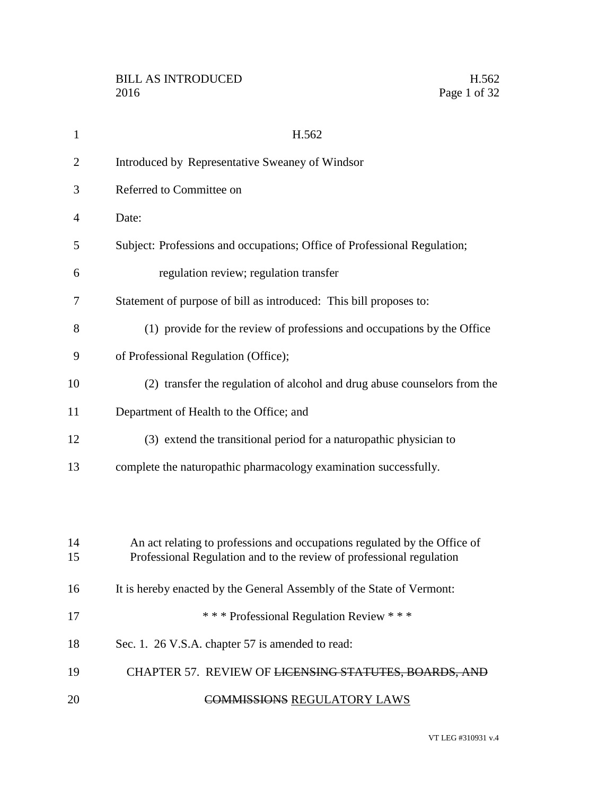| 1              | H.562                                                                                                                                             |
|----------------|---------------------------------------------------------------------------------------------------------------------------------------------------|
| $\overline{2}$ | Introduced by Representative Sweaney of Windsor                                                                                                   |
| 3              | Referred to Committee on                                                                                                                          |
| $\overline{4}$ | Date:                                                                                                                                             |
| 5              | Subject: Professions and occupations; Office of Professional Regulation;                                                                          |
| 6              | regulation review; regulation transfer                                                                                                            |
| 7              | Statement of purpose of bill as introduced: This bill proposes to:                                                                                |
| 8              | (1) provide for the review of professions and occupations by the Office                                                                           |
| 9              | of Professional Regulation (Office);                                                                                                              |
| 10             | (2) transfer the regulation of alcohol and drug abuse counselors from the                                                                         |
| 11             | Department of Health to the Office; and                                                                                                           |
| 12             | (3) extend the transitional period for a naturopathic physician to                                                                                |
| 13             | complete the naturopathic pharmacology examination successfully.                                                                                  |
|                |                                                                                                                                                   |
|                |                                                                                                                                                   |
| 14<br>15       | An act relating to professions and occupations regulated by the Office of<br>Professional Regulation and to the review of professional regulation |
| 16             | It is hereby enacted by the General Assembly of the State of Vermont:                                                                             |
| 17             | *** Professional Regulation Review ***                                                                                                            |
| 18             | Sec. 1. 26 V.S.A. chapter 57 is amended to read:                                                                                                  |
|                |                                                                                                                                                   |
| 19             | CHAPTER 57. REVIEW OF LICENSING STATUTES, BOARDS, AND                                                                                             |
| 20             | <b>COMMISSIONS REGULATORY LAWS</b>                                                                                                                |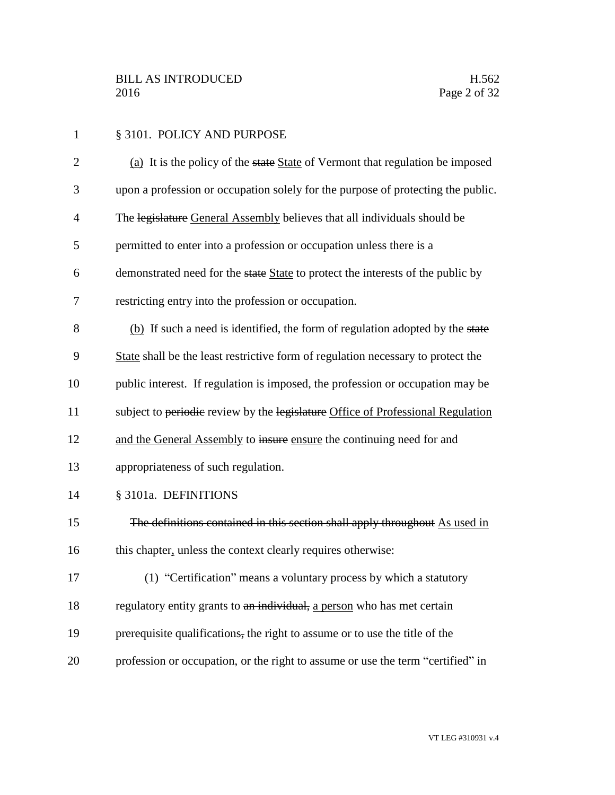1 § 3101. POLICY AND PURPOSE 2 (a) It is the policy of the state State of Vermont that regulation be imposed upon a profession or occupation solely for the purpose of protecting the public. The legislature General Assembly believes that all individuals should be permitted to enter into a profession or occupation unless there is a demonstrated need for the state State to protect the interests of the public by restricting entry into the profession or occupation. (b) If such a need is identified, the form of regulation adopted by the state State shall be the least restrictive form of regulation necessary to protect the public interest. If regulation is imposed, the profession or occupation may be 11 subject to periodic review by the legislature Office of Professional Regulation 12 and the General Assembly to insure ensure the continuing need for and appropriateness of such regulation. § 3101a. DEFINITIONS The definitions contained in this section shall apply throughout As used in 16 this chapter, unless the context clearly requires otherwise: (1) "Certification" means a voluntary process by which a statutory 18 regulatory entity grants to an individual, a person who has met certain 19 prerequisite qualifications, the right to assume or to use the title of the profession or occupation, or the right to assume or use the term "certified" in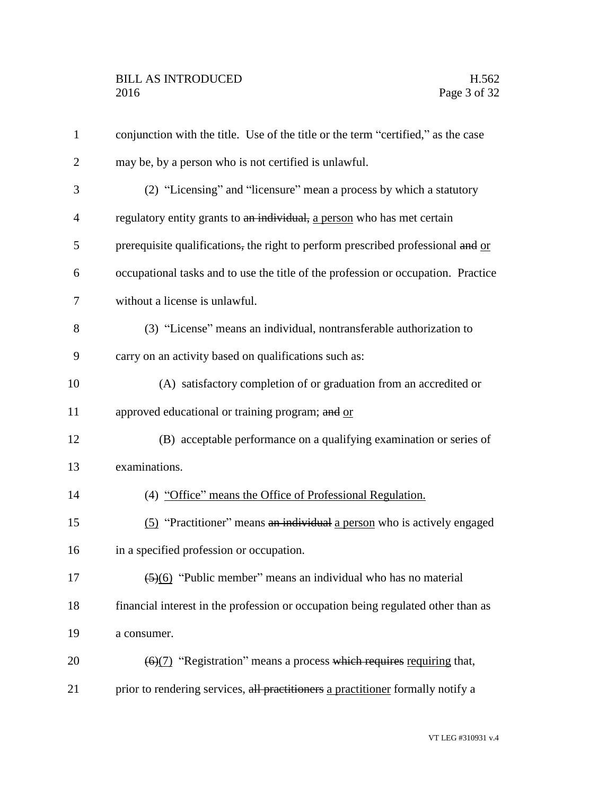| $\mathbf{1}$   | conjunction with the title. Use of the title or the term "certified," as the case        |
|----------------|------------------------------------------------------------------------------------------|
| $\overline{2}$ | may be, by a person who is not certified is unlawful.                                    |
| 3              | (2) "Licensing" and "licensure" mean a process by which a statutory                      |
| $\overline{4}$ | regulatory entity grants to an individual, a person who has met certain                  |
| 5              | prerequisite qualifications, the right to perform prescribed professional and or         |
| 6              | occupational tasks and to use the title of the profession or occupation. Practice        |
| 7              | without a license is unlawful.                                                           |
| 8              | (3) "License" means an individual, nontransferable authorization to                      |
| 9              | carry on an activity based on qualifications such as:                                    |
| 10             | (A) satisfactory completion of or graduation from an accredited or                       |
| 11             | approved educational or training program; and or                                         |
| 12             | (B) acceptable performance on a qualifying examination or series of                      |
| 13             | examinations.                                                                            |
| 14             | (4) "Office" means the Office of Professional Regulation.                                |
| 15             | (5) "Practitioner" means an individual a person who is actively engaged                  |
| 16             | in a specified profession or occupation.                                                 |
| 17             | $\left(\frac{5}{6}\right)$ "Public member" means an individual who has no material       |
| 18             | financial interest in the profession or occupation being regulated other than as         |
| 19             | a consumer.                                                                              |
| 20             | $\left(\frac{6}{7}\right)$ "Registration" means a process which requires requiring that, |
| 21             | prior to rendering services, all practitioners a practitioner formally notify a          |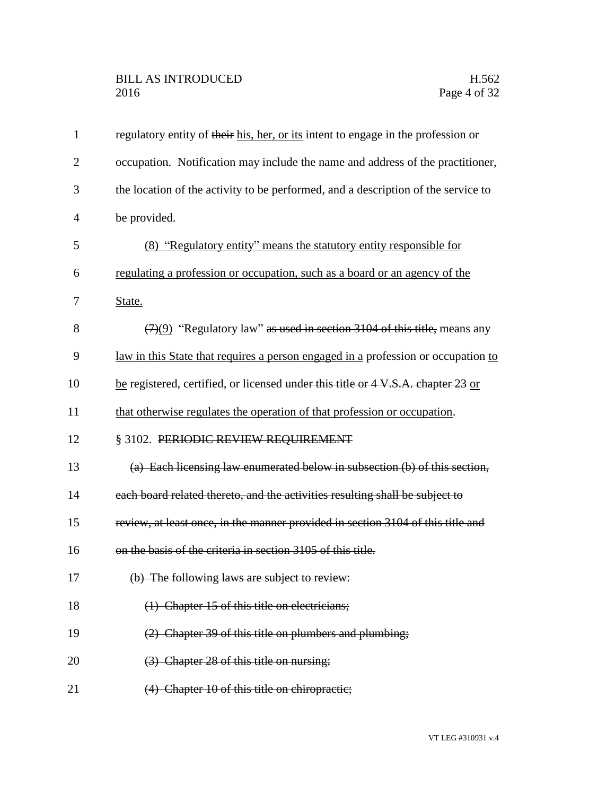| $\mathbf{1}$   | regulatory entity of their his, her, or its intent to engage in the profession or |
|----------------|-----------------------------------------------------------------------------------|
| $\overline{2}$ | occupation. Notification may include the name and address of the practitioner,    |
| 3              | the location of the activity to be performed, and a description of the service to |
| 4              | be provided.                                                                      |
| 5              | <u>(8) "Regulatory entity" means the statutory entity responsible for</u>         |
| 6              | regulating a profession or occupation, such as a board or an agency of the        |
| 7              | State.                                                                            |
| 8              | $(7)(9)$ "Regulatory law" as used in section 3104 of this title, means any        |
| 9              | law in this State that requires a person engaged in a profession or occupation to |
| 10             | be registered, certified, or licensed under this title or 4 V.S.A. chapter 23 or  |
| 11             | that otherwise regulates the operation of that profession or occupation.          |
| 12             | § 3102. PERIODIC REVIEW REQUIREMENT                                               |
| 13             | (a) Each licensing law enumerated below in subsection (b) of this section,        |
| 14             | each board related thereto, and the activities resulting shall be subject to      |
| 15             | review, at least once, in the manner provided in section 3104 of this title and   |
| 16             | on the basis of the criteria in section 3105 of this title.                       |
| 17             | (b) The following laws are subject to review:                                     |
| 18             | (1) Chapter 15 of this title on electricians;                                     |
| 19             | (2) Chapter 39 of this title on plumbers and plumbing;                            |
| 20             | (3) Chapter 28 of this title on nursing;                                          |
| 21             | (4) Chapter 10 of this title on chiropractic;                                     |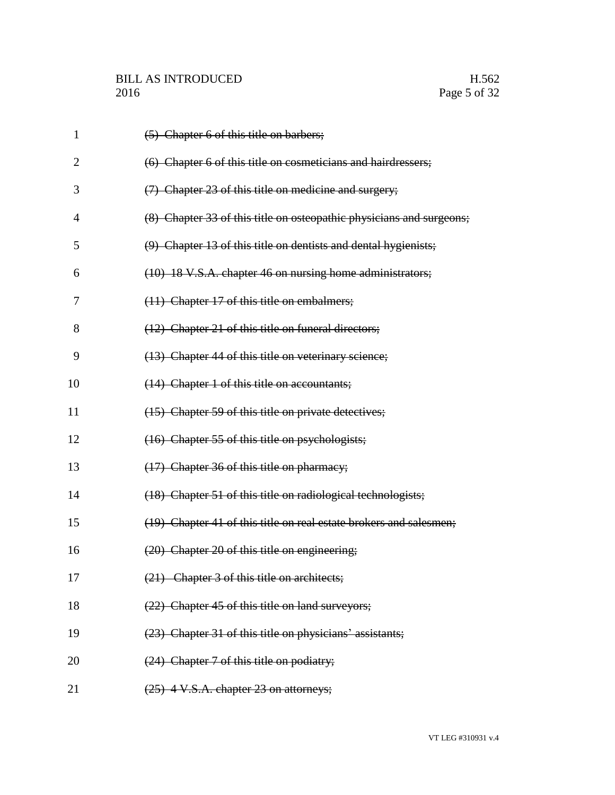| $\mathbf{1}$ | (5) Chapter 6 of this title on barbers;                              |
|--------------|----------------------------------------------------------------------|
| 2            | (6) Chapter 6 of this title on cosmeticians and hairdressers;        |
| 3            | (7) Chapter 23 of this title on medicine and surgery;                |
| 4            | (8) Chapter 33 of this title on osteopathic physicians and surgeons; |
| 5            | (9) Chapter 13 of this title on dentists and dental hygienists;      |
| 6            | (10) 18 V.S.A. chapter 46 on nursing home administrators;            |
| 7            | (11) Chapter 17 of this title on embalmers;                          |
| 8            | (12) Chapter 21 of this title on funeral directors;                  |
| 9            | (13) Chapter 44 of this title on veterinary science;                 |
| 10           | (14) Chapter 1 of this title on accountants;                         |
| 11           | (15) Chapter 59 of this title on private detectives;                 |
| 12           | (16) Chapter 55 of this title on psychologists;                      |
| 13           | (17) Chapter 36 of this title on pharmacy;                           |
| 14           | (18) Chapter 51 of this title on radiological technologists;         |
| 15           | (19) Chapter 41 of this title on real estate brokers and salesmen;   |
| 16           | (20) Chapter 20 of this title on engineering;                        |
| 17           | (21) Chapter 3 of this title on architects;                          |
| 18           | (22) Chapter 45 of this title on land surveyors;                     |
| 19           | (23) Chapter 31 of this title on physicians' assistants;             |
| 20           | (24) Chapter 7 of this title on podiatry;                            |
| 21           | (25) 4 V.S.A. chapter 23 on attorneys;                               |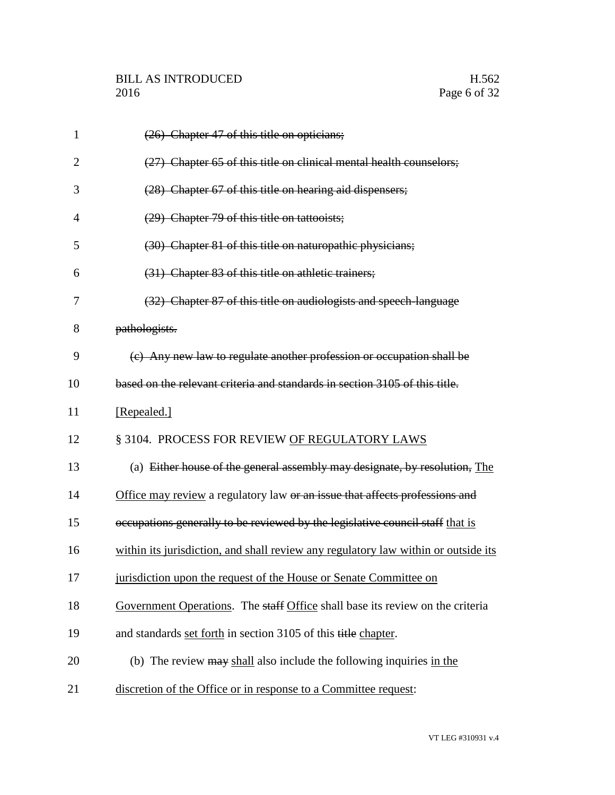| $\mathbf{1}$   | (26) Chapter 47 of this title on opticians;                                        |
|----------------|------------------------------------------------------------------------------------|
| $\overline{2}$ | (27) Chapter 65 of this title on clinical mental health counselors;                |
| 3              | (28) Chapter 67 of this title on hearing aid dispensers;                           |
| $\overline{4}$ | (29) Chapter 79 of this title on tattooists;                                       |
| 5              | (30) Chapter 81 of this title on naturopathic physicians;                          |
| 6              | (31) Chapter 83 of this title on athletic trainers;                                |
| 7              | (32) Chapter 87 of this title on audiologists and speech-language                  |
| 8              | pathologists.                                                                      |
| 9              | (c) Any new law to regulate another profession or occupation shall be              |
| 10             | based on the relevant criteria and standards in section 3105 of this title.        |
| 11             | [Repealed.]                                                                        |
| 12             | § 3104. PROCESS FOR REVIEW OF REGULATORY LAWS                                      |
| 13             | (a) Either house of the general assembly may designate, by resolution, The         |
| 14             | Office may review a regulatory law or an issue that affects professions and        |
| 15             | occupations generally to be reviewed by the legislative council staff that is      |
| 16             | within its jurisdiction, and shall review any regulatory law within or outside its |
| 17             | jurisdiction upon the request of the House or Senate Committee on                  |
| 18             | Government Operations. The staff Office shall base its review on the criteria      |
| 19             | and standards set forth in section 3105 of this title chapter.                     |
| 20             | (b) The review may shall also include the following inquiries in the               |
| 21             | discretion of the Office or in response to a Committee request:                    |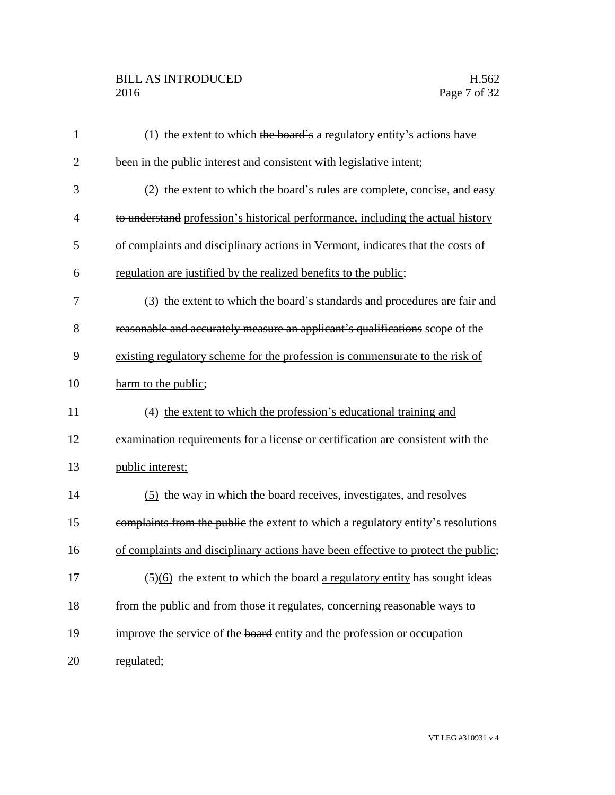## BILL AS INTRODUCED H.562<br>2016 Page 7 of 32

| $\mathbf{1}$   | (1) the extent to which the board's a regulatory entity's actions have                        |
|----------------|-----------------------------------------------------------------------------------------------|
| $\overline{2}$ | been in the public interest and consistent with legislative intent;                           |
| 3              | (2) the extent to which the board's rules are complete, concise, and easy                     |
| $\overline{4}$ | to understand profession's historical performance, including the actual history               |
| 5              | of complaints and disciplinary actions in Vermont, indicates that the costs of                |
| 6              | regulation are justified by the realized benefits to the public;                              |
| 7              | (3) the extent to which the board's standards and procedures are fair and                     |
| 8              | reasonable and accurately measure an applicant's qualifications scope of the                  |
| 9              | existing regulatory scheme for the profession is commensurate to the risk of                  |
| 10             | harm to the public;                                                                           |
| 11             | (4) the extent to which the profession's educational training and                             |
| 12             | examination requirements for a license or certification are consistent with the               |
| 13             | public interest;                                                                              |
| 14             | (5) the way in which the board receives, investigates, and resolves                           |
| 15             | complaints from the public the extent to which a regulatory entity's resolutions              |
| 16             | of complaints and disciplinary actions have been effective to protect the public;             |
| 17             | $\left(\frac{5}{6}\right)$ the extent to which the board a regulatory entity has sought ideas |
| 18             | from the public and from those it regulates, concerning reasonable ways to                    |
| 19             | improve the service of the board entity and the profession or occupation                      |
| 20             | regulated;                                                                                    |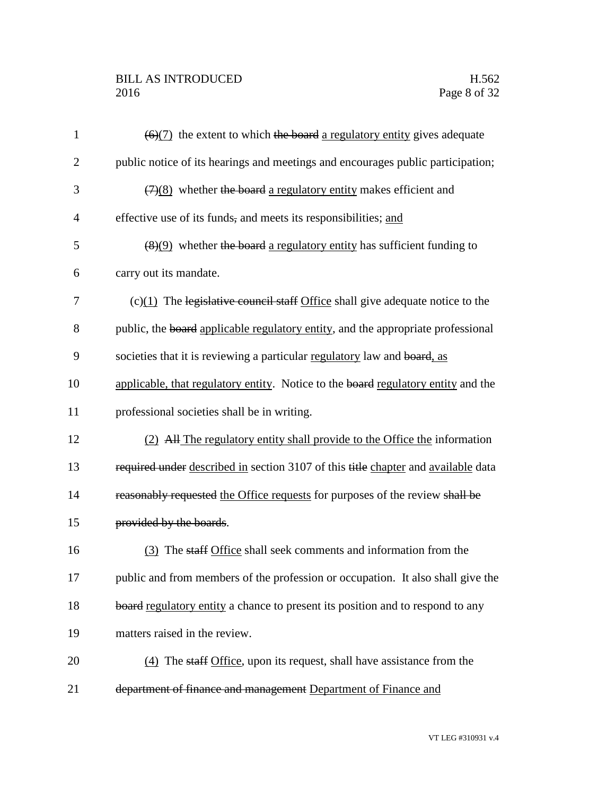## BILL AS INTRODUCED H.562<br>2016 Page 8 of 32

| $\mathbf{1}$   | $\left(\frac{6}{7}\right)$ the extent to which the board a regulatory entity gives adequate |
|----------------|---------------------------------------------------------------------------------------------|
| $\overline{2}$ | public notice of its hearings and meetings and encourages public participation;             |
| 3              | $(7)(8)$ whether the board a regulatory entity makes efficient and                          |
| $\overline{4}$ | effective use of its funds, and meets its responsibilities; and                             |
| 5              | $\left(\frac{8}{9}\right)$ whether the board a regulatory entity has sufficient funding to  |
| 6              | carry out its mandate.                                                                      |
| 7              | $(c)(1)$ The legislative council staff Office shall give adequate notice to the             |
| 8              | public, the board applicable regulatory entity, and the appropriate professional            |
| 9              | societies that it is reviewing a particular regulatory law and board, as                    |
| 10             | applicable, that regulatory entity. Notice to the board regulatory entity and the           |
| 11             | professional societies shall be in writing.                                                 |
| 12             | (2) All The regulatory entity shall provide to the Office the information                   |
| 13             | required under described in section 3107 of this title chapter and available data           |
| 14             | reasonably requested the Office requests for purposes of the review shall be                |
| 15             | provided by the boards.                                                                     |
| 16             | (3) The staff Office shall seek comments and information from the                           |
| 17             | public and from members of the profession or occupation. It also shall give the             |
| 18             | board regulatory entity a chance to present its position and to respond to any              |
| 19             | matters raised in the review.                                                               |
| 20             | (4) The staff Office, upon its request, shall have assistance from the                      |
| 21             | department of finance and management Department of Finance and                              |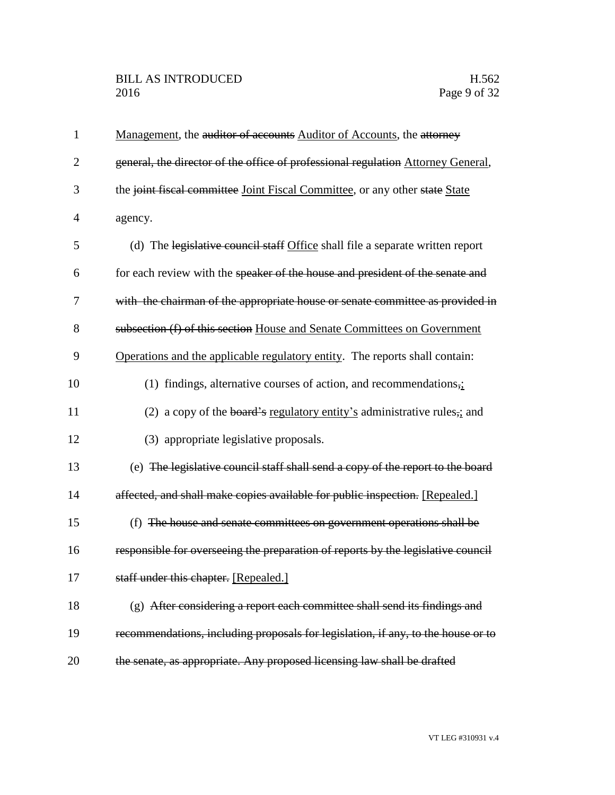| $\mathbf{1}$   | Management, the auditor of accounts Auditor of Accounts, the attorney            |
|----------------|----------------------------------------------------------------------------------|
| $\overline{2}$ | general, the director of the office of professional regulation Attorney General, |
| 3              | the joint fiscal committee Joint Fiscal Committee, or any other state State      |
| $\overline{4}$ | agency.                                                                          |
| 5              | (d) The legislative council staff Office shall file a separate written report    |
| 6              | for each review with the speaker of the house and president of the senate and    |
| 7              | with the chairman of the appropriate house or senate committee as provided in    |
| 8              | subsection (f) of this section House and Senate Committees on Government         |
| 9              | Operations and the applicable regulatory entity. The reports shall contain:      |
| 10             | (1) findings, alternative courses of action, and recommendations,;               |
| 11             | (2) a copy of the board's regulatory entity's administrative rules,; and         |
| 12             | (3) appropriate legislative proposals.                                           |
| 13             | (e) The legislative council staff shall send a copy of the report to the board   |
| 14             | affected, and shall make copies available for public inspection. [Repealed.]     |
| 15             | (f) The house and senate committees on government operations shall be            |
| 16             | responsible for overseeing the preparation of reports by the legislative council |
| 17             | staff under this chapter. [Repealed.]                                            |
| 18             | (g) After considering a report each committee shall send its findings and        |
| 19             | recommendations, including proposals for legislation, if any, to the house or to |
| 20             | the senate, as appropriate. Any proposed licensing law shall be drafted          |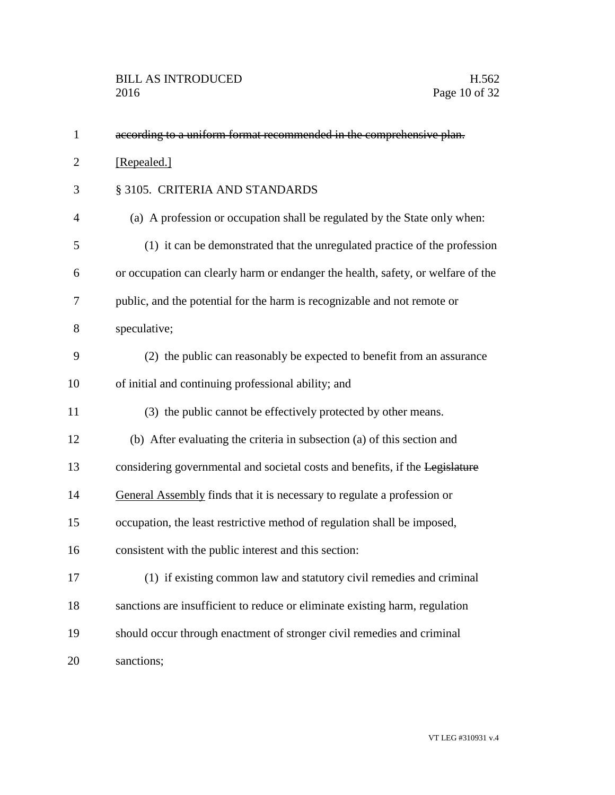| $\mathbf{1}$   | according to a uniform format recommended in the comprehensive plan.             |
|----------------|----------------------------------------------------------------------------------|
| $\overline{2}$ | [Repealed.]                                                                      |
| 3              | § 3105. CRITERIA AND STANDARDS                                                   |
| 4              | (a) A profession or occupation shall be regulated by the State only when:        |
| 5              | (1) it can be demonstrated that the unregulated practice of the profession       |
| 6              | or occupation can clearly harm or endanger the health, safety, or welfare of the |
| 7              | public, and the potential for the harm is recognizable and not remote or         |
| 8              | speculative;                                                                     |
| 9              | (2) the public can reasonably be expected to benefit from an assurance           |
| 10             | of initial and continuing professional ability; and                              |
| 11             | (3) the public cannot be effectively protected by other means.                   |
| 12             | (b) After evaluating the criteria in subsection (a) of this section and          |
| 13             | considering governmental and societal costs and benefits, if the Legislature     |
| 14             | General Assembly finds that it is necessary to regulate a profession or          |
| 15             | occupation, the least restrictive method of regulation shall be imposed,         |
| 16             | consistent with the public interest and this section:                            |
| 17             | (1) if existing common law and statutory civil remedies and criminal             |
| 18             | sanctions are insufficient to reduce or eliminate existing harm, regulation      |
| 19             | should occur through enactment of stronger civil remedies and criminal           |
| 20             | sanctions;                                                                       |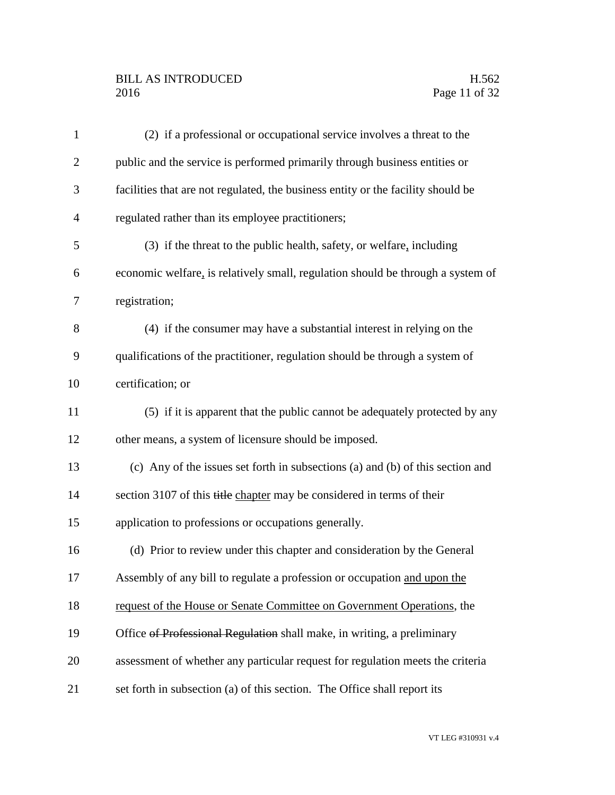## BILL AS INTRODUCED H.562<br>2016 Page 11 of 32

| $\mathbf{1}$   | (2) if a professional or occupational service involves a threat to the           |
|----------------|----------------------------------------------------------------------------------|
| $\overline{2}$ | public and the service is performed primarily through business entities or       |
| 3              | facilities that are not regulated, the business entity or the facility should be |
| $\overline{4}$ | regulated rather than its employee practitioners;                                |
| 5              | (3) if the threat to the public health, safety, or welfare, including            |
| 6              | economic welfare, is relatively small, regulation should be through a system of  |
| 7              | registration;                                                                    |
| 8              | (4) if the consumer may have a substantial interest in relying on the            |
| 9              | qualifications of the practitioner, regulation should be through a system of     |
| 10             | certification; or                                                                |
| 11             | (5) if it is apparent that the public cannot be adequately protected by any      |
| 12             | other means, a system of licensure should be imposed.                            |
| 13             | (c) Any of the issues set forth in subsections (a) and (b) of this section and   |
| 14             | section 3107 of this title chapter may be considered in terms of their           |
| 15             | application to professions or occupations generally.                             |
| 16             | (d) Prior to review under this chapter and consideration by the General          |
| 17             | Assembly of any bill to regulate a profession or occupation and upon the         |
| 18             | request of the House or Senate Committee on Government Operations, the           |
| 19             | Office of Professional Regulation shall make, in writing, a preliminary          |
| 20             | assessment of whether any particular request for regulation meets the criteria   |
| 21             | set forth in subsection (a) of this section. The Office shall report its         |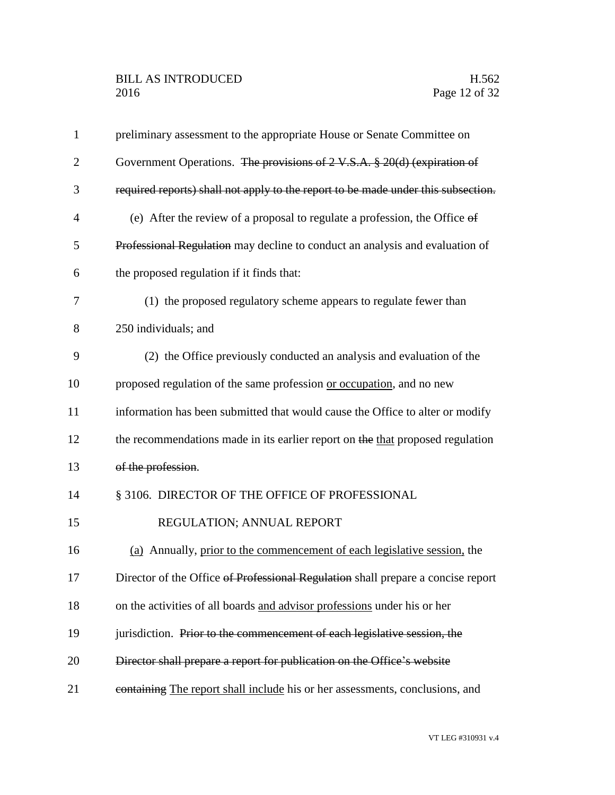| $\mathbf{1}$   | preliminary assessment to the appropriate House or Senate Committee on            |
|----------------|-----------------------------------------------------------------------------------|
| $\overline{2}$ | Government Operations. The provisions of 2 V.S.A. § 20(d) (expiration of          |
| 3              | required reports) shall not apply to the report to be made under this subsection. |
| $\overline{4}$ | (e) After the review of a proposal to regulate a profession, the Office $\theta$  |
| 5              | Professional Regulation may decline to conduct an analysis and evaluation of      |
| 6              | the proposed regulation if it finds that:                                         |
| 7              | (1) the proposed regulatory scheme appears to regulate fewer than                 |
| 8              | 250 individuals; and                                                              |
| 9              | (2) the Office previously conducted an analysis and evaluation of the             |
| 10             | proposed regulation of the same profession or occupation, and no new              |
| 11             | information has been submitted that would cause the Office to alter or modify     |
| 12             | the recommendations made in its earlier report on the that proposed regulation    |
| 13             | of the profession.                                                                |
| 14             | § 3106. DIRECTOR OF THE OFFICE OF PROFESSIONAL                                    |
| 15             | REGULATION; ANNUAL REPORT                                                         |
| 16             | (a) Annually, prior to the commencement of each legislative session, the          |
| 17             | Director of the Office of Professional Regulation shall prepare a concise report  |
| 18             | on the activities of all boards and advisor professions under his or her          |
| 19             | jurisdiction. Prior to the commencement of each legislative session, the          |
| 20             | Director shall prepare a report for publication on the Office's website           |
| 21             | containing The report shall include his or her assessments, conclusions, and      |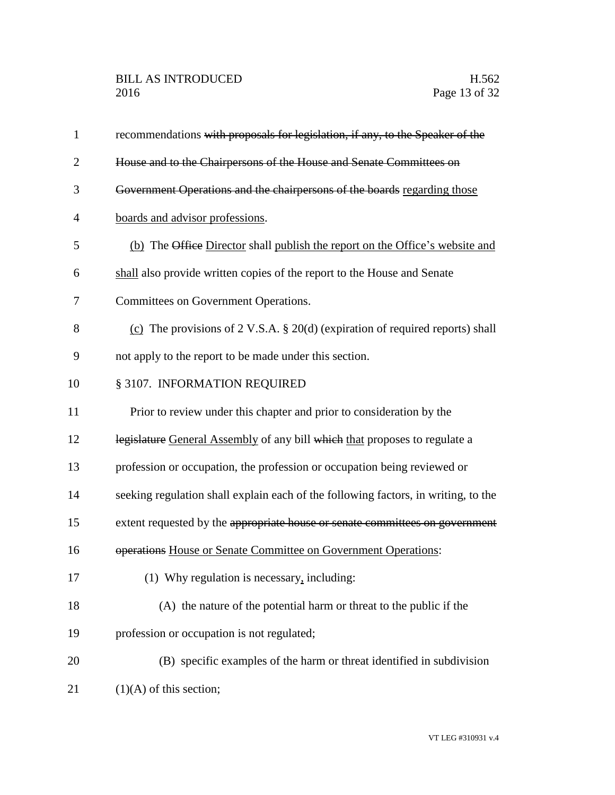| $\mathbf{1}$   | recommendations with proposals for legislation, if any, to the Speaker of the      |
|----------------|------------------------------------------------------------------------------------|
| $\overline{2}$ | House and to the Chairpersons of the House and Senate Committees on                |
| 3              | Government Operations and the chairpersons of the boards regarding those           |
| $\overline{4}$ | boards and advisor professions.                                                    |
| 5              | (b) The Office Director shall publish the report on the Office's website and       |
| 6              | shall also provide written copies of the report to the House and Senate            |
| 7              | Committees on Government Operations.                                               |
| 8              | (c) The provisions of 2 V.S.A. $\S 20(d)$ (expiration of required reports) shall   |
| 9              | not apply to the report to be made under this section.                             |
| 10             | § 3107. INFORMATION REQUIRED                                                       |
| 11             | Prior to review under this chapter and prior to consideration by the               |
| 12             | legislature General Assembly of any bill which that proposes to regulate a         |
| 13             | profession or occupation, the profession or occupation being reviewed or           |
| 14             | seeking regulation shall explain each of the following factors, in writing, to the |
| 15             | extent requested by the appropriate house or senate committees on government       |
| 16             | operations House or Senate Committee on Government Operations:                     |
| 17             | (1) Why regulation is necessary, including:                                        |
| 18             | (A) the nature of the potential harm or threat to the public if the                |
| 19             | profession or occupation is not regulated;                                         |
| 20             | (B) specific examples of the harm or threat identified in subdivision              |
| 21             | $(1)(A)$ of this section;                                                          |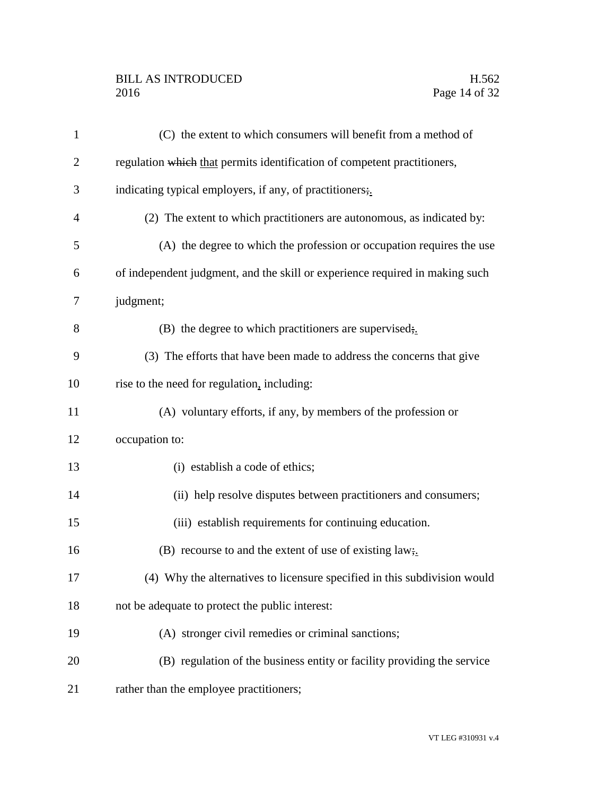## BILL AS INTRODUCED H.562<br>2016 Page 14 of 32

| $\mathbf{1}$   | (C) the extent to which consumers will benefit from a method of              |
|----------------|------------------------------------------------------------------------------|
| $\overline{2}$ | regulation which that permits identification of competent practitioners,     |
| 3              | indicating typical employers, if any, of practitioners;                      |
| $\overline{4}$ | (2) The extent to which practitioners are autonomous, as indicated by:       |
| 5              | (A) the degree to which the profession or occupation requires the use        |
| 6              | of independent judgment, and the skill or experience required in making such |
| 7              | judgment;                                                                    |
| 8              | $(B)$ the degree to which practitioners are supervised;                      |
| 9              | (3) The efforts that have been made to address the concerns that give        |
| 10             | rise to the need for regulation, including:                                  |
| 11             | (A) voluntary efforts, if any, by members of the profession or               |
| 12             | occupation to:                                                               |
| 13             | (i) establish a code of ethics;                                              |
| 14             | (ii) help resolve disputes between practitioners and consumers;              |
| 15             | (iii) establish requirements for continuing education.                       |
| 16             | (B) recourse to and the extent of use of existing law.                       |
| 17             | (4) Why the alternatives to licensure specified in this subdivision would    |
| 18             | not be adequate to protect the public interest:                              |
| 19             | (A) stronger civil remedies or criminal sanctions;                           |
| 20             | (B) regulation of the business entity or facility providing the service      |
| 21             | rather than the employee practitioners;                                      |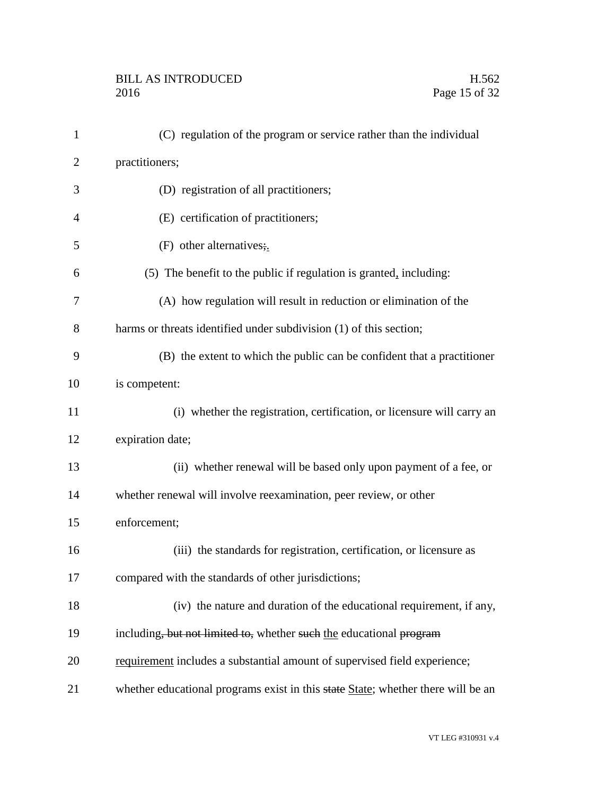| 1              | (C) regulation of the program or service rather than the individual              |
|----------------|----------------------------------------------------------------------------------|
| $\overline{2}$ | practitioners;                                                                   |
| 3              | (D) registration of all practitioners;                                           |
| $\overline{4}$ | (E) certification of practitioners;                                              |
| 5              | (F) other alternatives;                                                          |
| 6              | $(5)$ The benefit to the public if regulation is granted, including:             |
| 7              | (A) how regulation will result in reduction or elimination of the                |
| 8              | harms or threats identified under subdivision (1) of this section;               |
| 9              | (B) the extent to which the public can be confident that a practitioner          |
| 10             | is competent:                                                                    |
| 11             | (i) whether the registration, certification, or licensure will carry an          |
| 12             | expiration date;                                                                 |
| 13             | (ii) whether renewal will be based only upon payment of a fee, or                |
| 14             | whether renewal will involve reexamination, peer review, or other                |
| 15             | enforcement;                                                                     |
| 16             | (iii) the standards for registration, certification, or licensure as             |
| 17             | compared with the standards of other jurisdictions;                              |
| 18             | (iv) the nature and duration of the educational requirement, if any,             |
| 19             | including, but not limited to, whether such the educational program              |
| 20             | requirement includes a substantial amount of supervised field experience;        |
| 21             | whether educational programs exist in this state State; whether there will be an |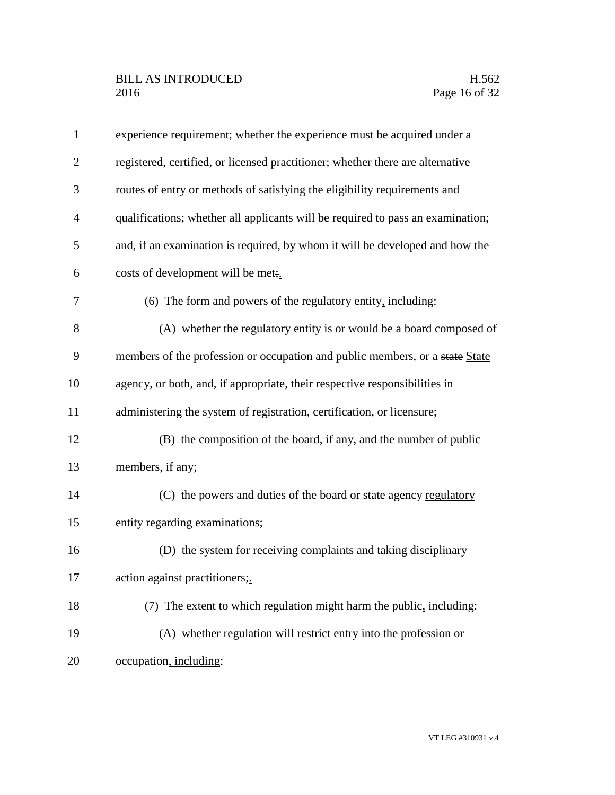| $\mathbf{1}$   | experience requirement; whether the experience must be acquired under a         |
|----------------|---------------------------------------------------------------------------------|
| $\overline{2}$ | registered, certified, or licensed practitioner; whether there are alternative  |
| 3              | routes of entry or methods of satisfying the eligibility requirements and       |
| $\overline{4}$ | qualifications; whether all applicants will be required to pass an examination; |
| 5              | and, if an examination is required, by whom it will be developed and how the    |
| 6              | costs of development will be met;                                               |
| 7              | (6) The form and powers of the regulatory entity, including:                    |
| 8              | (A) whether the regulatory entity is or would be a board composed of            |
| 9              | members of the profession or occupation and public members, or a state State    |
| 10             | agency, or both, and, if appropriate, their respective responsibilities in      |
| 11             | administering the system of registration, certification, or licensure;          |
| 12             | (B) the composition of the board, if any, and the number of public              |
| 13             | members, if any;                                                                |
| 14             | (C) the powers and duties of the board or state agency regulatory               |
| 15             | entity regarding examinations;                                                  |
| 16             | (D) the system for receiving complaints and taking disciplinary                 |
| 17             | action against practitioners;.                                                  |
| 18             | (7) The extent to which regulation might harm the public, including:            |
| 19             | (A) whether regulation will restrict entry into the profession or               |
| 20             | occupation, including:                                                          |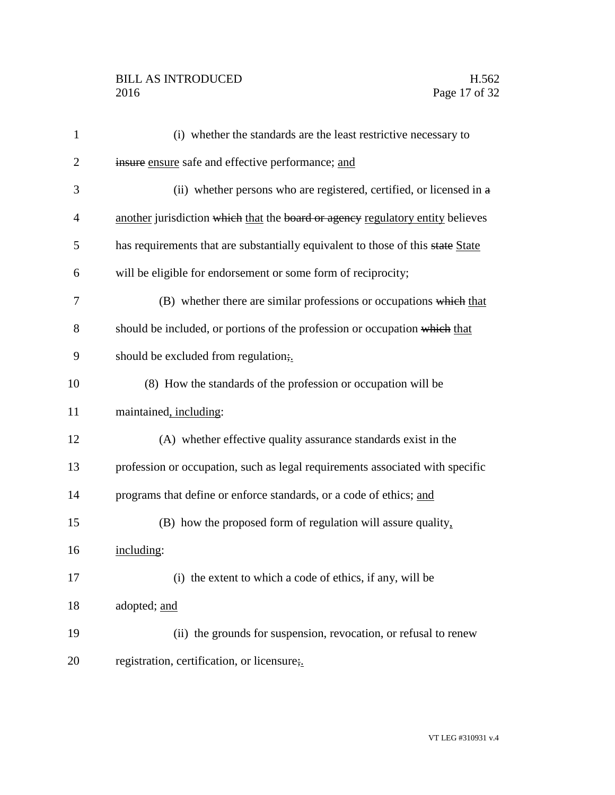| $\mathbf{1}$   | (i) whether the standards are the least restrictive necessary to                |
|----------------|---------------------------------------------------------------------------------|
| $\overline{c}$ | insure ensure safe and effective performance; and                               |
| 3              | (ii) whether persons who are registered, certified, or licensed in a            |
| 4              | another jurisdiction which that the board or agency regulatory entity believes  |
| 5              | has requirements that are substantially equivalent to those of this state State |
| 6              | will be eligible for endorsement or some form of reciprocity;                   |
| 7              | (B) whether there are similar professions or occupations which that             |
| 8              | should be included, or portions of the profession or occupation which that      |
| 9              | should be excluded from regulation;                                             |
| 10             | (8) How the standards of the profession or occupation will be                   |
| 11             | maintained, including:                                                          |
| 12             | (A) whether effective quality assurance standards exist in the                  |
| 13             | profession or occupation, such as legal requirements associated with specific   |
| 14             | programs that define or enforce standards, or a code of ethics; and             |
| 15             | (B) how the proposed form of regulation will assure quality,                    |
| 16             | including:                                                                      |
| 17             | (i) the extent to which a code of ethics, if any, will be                       |
| 18             | adopted; and                                                                    |
| 19             | (ii) the grounds for suspension, revocation, or refusal to renew                |
| 20             | registration, certification, or licensure;                                      |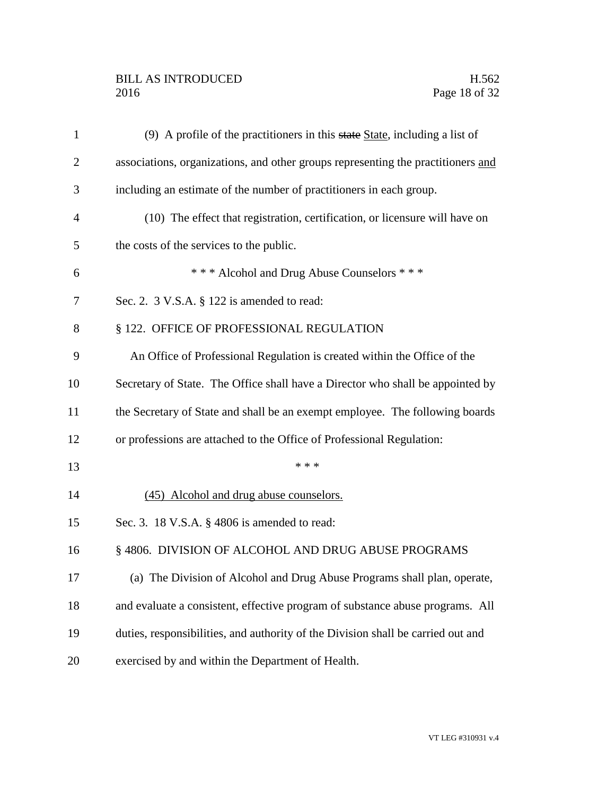## BILL AS INTRODUCED H.562<br>2016 Page 18 of 32

| $\mathbf{1}$   | $(9)$ A profile of the practitioners in this state State, including a list of    |
|----------------|----------------------------------------------------------------------------------|
| $\overline{2}$ | associations, organizations, and other groups representing the practitioners and |
| 3              | including an estimate of the number of practitioners in each group.              |
| $\overline{4}$ | (10) The effect that registration, certification, or licensure will have on      |
| 5              | the costs of the services to the public.                                         |
| 6              | *** Alcohol and Drug Abuse Counselors ***                                        |
| 7              | Sec. 2. 3 V.S.A. § 122 is amended to read:                                       |
| 8              | § 122. OFFICE OF PROFESSIONAL REGULATION                                         |
| 9              | An Office of Professional Regulation is created within the Office of the         |
| 10             | Secretary of State. The Office shall have a Director who shall be appointed by   |
| 11             | the Secretary of State and shall be an exempt employee. The following boards     |
| 12             | or professions are attached to the Office of Professional Regulation:            |
| 13             | * * *                                                                            |
| 14             | (45) Alcohol and drug abuse counselors.                                          |
| 15             | Sec. 3. 18 V.S.A. § 4806 is amended to read:                                     |
| 16             | § 4806. DIVISION OF ALCOHOL AND DRUG ABUSE PROGRAMS                              |
| 17             | (a) The Division of Alcohol and Drug Abuse Programs shall plan, operate,         |
| 18             | and evaluate a consistent, effective program of substance abuse programs. All    |
| 19             | duties, responsibilities, and authority of the Division shall be carried out and |
| 20             | exercised by and within the Department of Health.                                |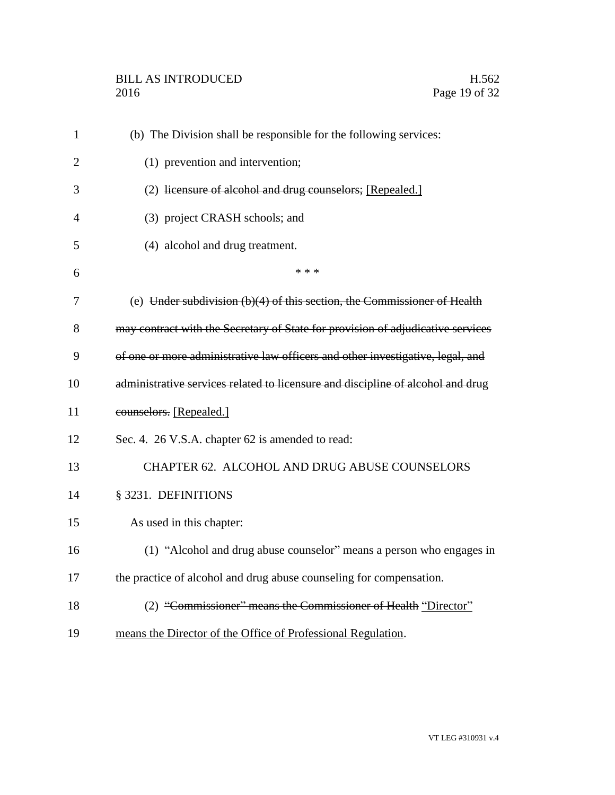| $\mathbf{1}$   | (b) The Division shall be responsible for the following services:               |
|----------------|---------------------------------------------------------------------------------|
| $\overline{2}$ | (1) prevention and intervention;                                                |
| 3              | (2) licensure of alcohol and drug counselors; [Repealed.]                       |
| 4              | (3) project CRASH schools; and                                                  |
| 5              | (4) alcohol and drug treatment.                                                 |
| 6              | * * *                                                                           |
| 7              | (e) Under subdivision (b)(4) of this section, the Commissioner of Health        |
| 8              | may contract with the Secretary of State for provision of adjudicative services |
| 9              | of one or more administrative law officers and other investigative, legal, and  |
| 10             | administrative services related to licensure and discipline of alcohol and drug |
| 11             | counselors. [Repealed.]                                                         |
| 12             | Sec. 4. 26 V.S.A. chapter 62 is amended to read:                                |
| 13             | CHAPTER 62. ALCOHOL AND DRUG ABUSE COUNSELORS                                   |
| 14             | § 3231. DEFINITIONS                                                             |
| 15             | As used in this chapter:                                                        |
| 16             | (1) "Alcohol and drug abuse counselor" means a person who engages in            |
| 17             | the practice of alcohol and drug abuse counseling for compensation.             |
| 18             | (2) "Commissioner" means the Commissioner of Health "Director"                  |
| 19             | means the Director of the Office of Professional Regulation.                    |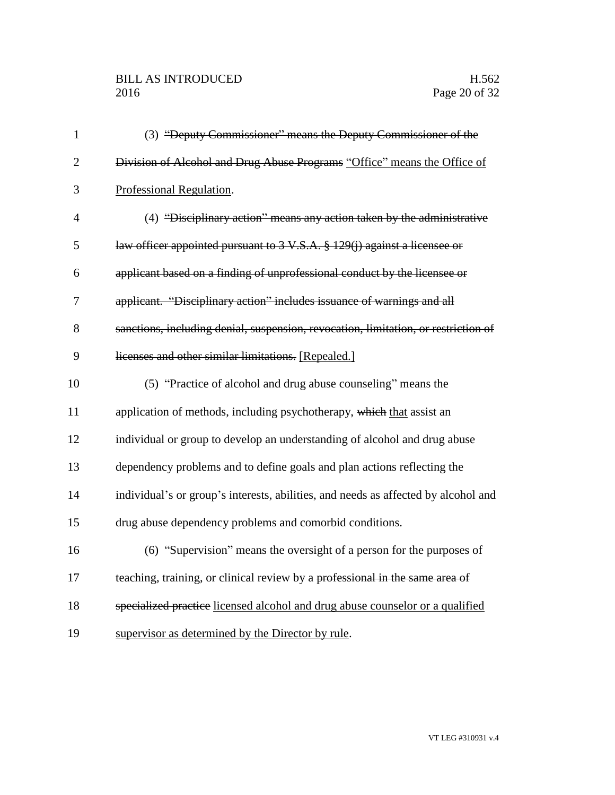| $\mathbf{1}$   | (3) "Deputy Commissioner" means the Deputy Commissioner of the                     |
|----------------|------------------------------------------------------------------------------------|
| $\overline{2}$ | Division of Alcohol and Drug Abuse Programs "Office" means the Office of           |
| 3              | Professional Regulation.                                                           |
| $\overline{4}$ | (4) "Disciplinary action" means any action taken by the administrative             |
| 5              | law officer appointed pursuant to 3 V.S.A. § 129(j) against a licensee or          |
| 6              | applicant based on a finding of unprofessional conduct by the licensee or          |
| 7              | applicant. "Disciplinary action" includes issuance of warnings and all             |
| 8              | sanctions, including denial, suspension, revocation, limitation, or restriction of |
| 9              | licenses and other similar limitations. [Repealed.]                                |
| 10             | (5) "Practice of alcohol and drug abuse counseling" means the                      |
| 11             | application of methods, including psychotherapy, which that assist an              |
| 12             | individual or group to develop an understanding of alcohol and drug abuse          |
| 13             | dependency problems and to define goals and plan actions reflecting the            |
| 14             | individual's or group's interests, abilities, and needs as affected by alcohol and |
| 15             | drug abuse dependency problems and comorbid conditions.                            |
| 16             | (6) "Supervision" means the oversight of a person for the purposes of              |
| 17             | teaching, training, or clinical review by a professional in the same area of       |
| 18             | specialized practice licensed alcohol and drug abuse counselor or a qualified      |
| 19             | supervisor as determined by the Director by rule.                                  |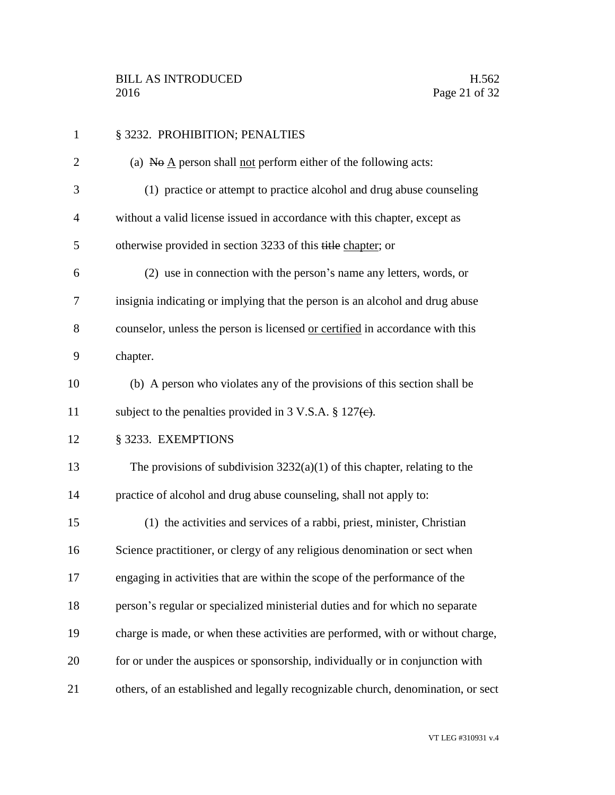| $\mathbf{1}$   | § 3232. PROHIBITION; PENALTIES                                                                            |
|----------------|-----------------------------------------------------------------------------------------------------------|
| $\overline{c}$ | (a) $\overline{N}$ $\Theta$ $\underline{A}$ person shall <u>not</u> perform either of the following acts: |
| 3              | (1) practice or attempt to practice alcohol and drug abuse counseling                                     |
| $\overline{4}$ | without a valid license issued in accordance with this chapter, except as                                 |
| 5              | otherwise provided in section 3233 of this title chapter; or                                              |
| 6              | (2) use in connection with the person's name any letters, words, or                                       |
| 7              | insignia indicating or implying that the person is an alcohol and drug abuse                              |
| 8              | counselor, unless the person is licensed or certified in accordance with this                             |
| 9              | chapter.                                                                                                  |
| 10             | (b) A person who violates any of the provisions of this section shall be                                  |
| 11             | subject to the penalties provided in 3 V.S.A. $\S 127(e)$ .                                               |
| 12             | § 3233. EXEMPTIONS                                                                                        |
| 13             | The provisions of subdivision $3232(a)(1)$ of this chapter, relating to the                               |
| 14             | practice of alcohol and drug abuse counseling, shall not apply to:                                        |
| 15             | (1) the activities and services of a rabbi, priest, minister, Christian                                   |
| 16             | Science practitioner, or clergy of any religious denomination or sect when                                |
| 17             | engaging in activities that are within the scope of the performance of the                                |
| 18             | person's regular or specialized ministerial duties and for which no separate                              |
| 19             | charge is made, or when these activities are performed, with or without charge,                           |
| 20             | for or under the auspices or sponsorship, individually or in conjunction with                             |
| 21             | others, of an established and legally recognizable church, denomination, or sect                          |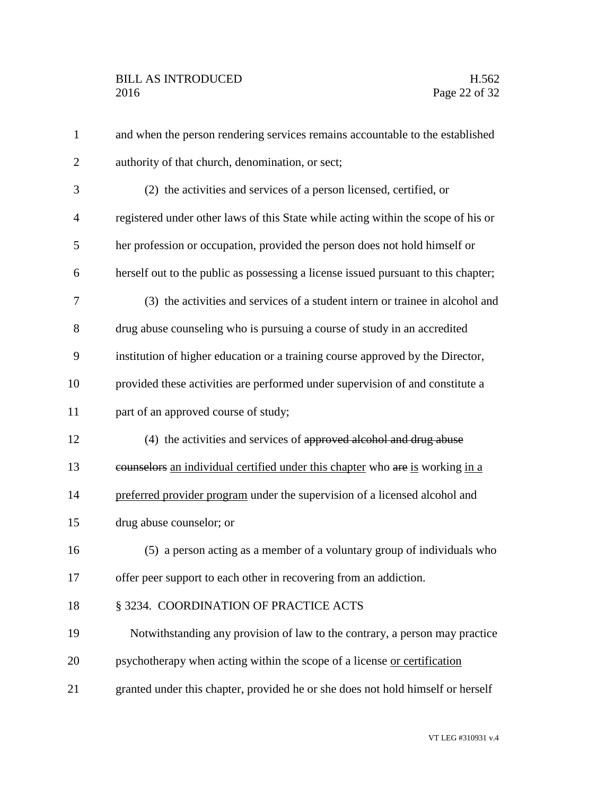| $\mathbf{1}$   | and when the person rendering services remains accountable to the established      |
|----------------|------------------------------------------------------------------------------------|
| $\overline{2}$ | authority of that church, denomination, or sect;                                   |
| 3              | (2) the activities and services of a person licensed, certified, or                |
| $\overline{4}$ | registered under other laws of this State while acting within the scope of his or  |
| 5              | her profession or occupation, provided the person does not hold himself or         |
| 6              | herself out to the public as possessing a license issued pursuant to this chapter; |
| 7              | (3) the activities and services of a student intern or trainee in alcohol and      |
| 8              | drug abuse counseling who is pursuing a course of study in an accredited           |
| 9              | institution of higher education or a training course approved by the Director,     |
| 10             | provided these activities are performed under supervision of and constitute a      |
| 11             | part of an approved course of study;                                               |
| 12             | (4) the activities and services of approved alcohol and drug abuse                 |
| 13             | counselors an individual certified under this chapter who are is working in a      |
| 14             | preferred provider program under the supervision of a licensed alcohol and         |
| 15             | drug abuse counselor; or                                                           |
| 16             | (5) a person acting as a member of a voluntary group of individuals who            |
| 17             | offer peer support to each other in recovering from an addiction.                  |
| 18             | § 3234. COORDINATION OF PRACTICE ACTS                                              |
| 19             | Notwithstanding any provision of law to the contrary, a person may practice        |
| 20             | psychotherapy when acting within the scope of a license or certification           |
| 21             | granted under this chapter, provided he or she does not hold himself or herself    |
|                |                                                                                    |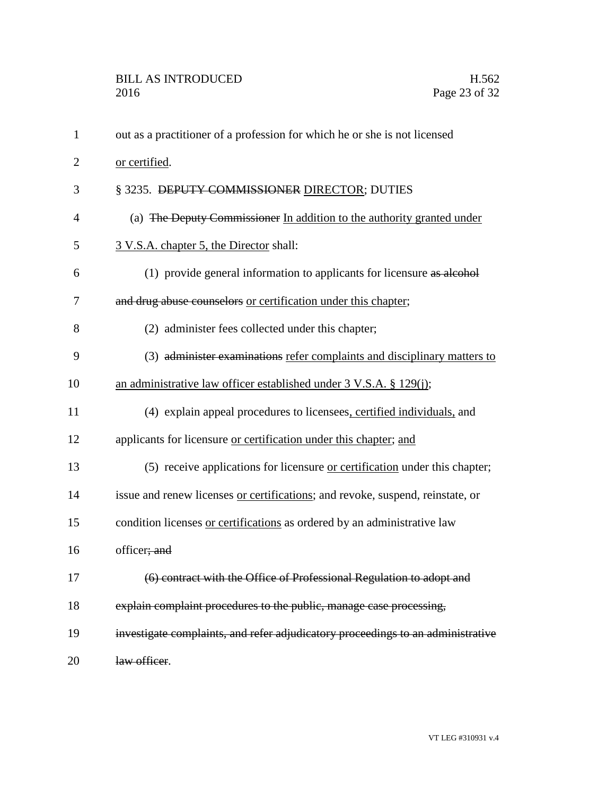| 1              | out as a practitioner of a profession for which he or she is not licensed       |
|----------------|---------------------------------------------------------------------------------|
| $\overline{2}$ | or certified.                                                                   |
| 3              | § 3235. DEPUTY COMMISSIONER DIRECTOR; DUTIES                                    |
| 4              | (a) The Deputy Commissioner In addition to the authority granted under          |
| 5              | 3 V.S.A. chapter 5, the Director shall:                                         |
| 6              | (1) provide general information to applicants for licensure as alcohol          |
| 7              | and drug abuse counselors or certification under this chapter;                  |
| 8              | (2) administer fees collected under this chapter;                               |
| 9              | (3) administer examinations refer complaints and disciplinary matters to        |
| 10             | an administrative law officer established under $3 \text{ V.S.A. }$ \$ 129(j);  |
| 11             | (4) explain appeal procedures to licensees, certified individuals, and          |
| 12             | applicants for licensure or certification under this chapter; and               |
| 13             | (5) receive applications for licensure or certification under this chapter;     |
| 14             | issue and renew licenses or certifications; and revoke, suspend, reinstate, or  |
| 15             | condition licenses or certifications as ordered by an administrative law        |
| 16             | officer; and                                                                    |
| 17             | (6) contract with the Office of Professional Regulation to adopt and            |
| 18             | explain complaint procedures to the public, manage case processing,             |
| 19             | investigate complaints, and refer adjudicatory proceedings to an administrative |
| 20             | law officer.                                                                    |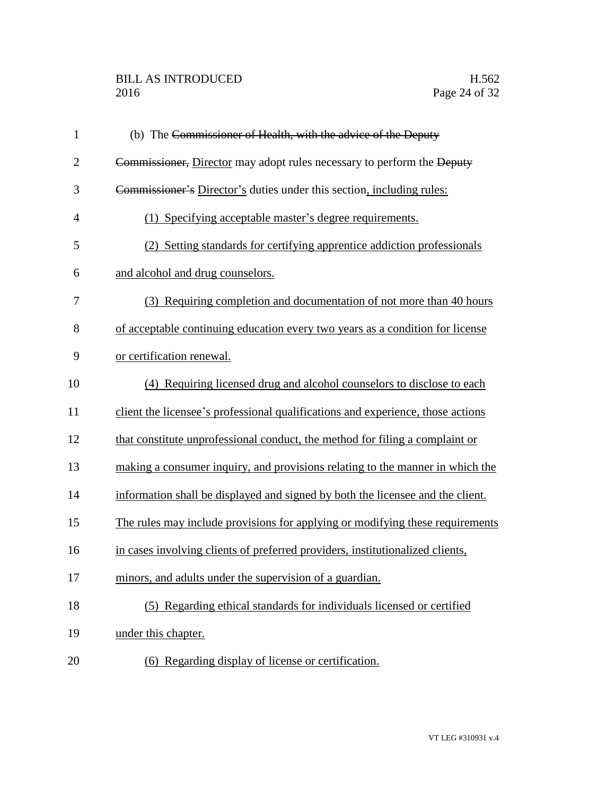# BILL AS INTRODUCED H.562<br>2016 Page 24 of 32

| $\mathbf{1}$   | (b) The Commissioner of Health, with the advice of the Deputy                   |
|----------------|---------------------------------------------------------------------------------|
| $\overline{2}$ | Commissioner, Director may adopt rules necessary to perform the Deputy          |
| 3              | Commissioner's Director's duties under this section, including rules:           |
| $\overline{4}$ | (1) Specifying acceptable master's degree requirements.                         |
| 5              | (2) Setting standards for certifying apprentice addiction professionals         |
| 6              | and alcohol and drug counselors.                                                |
| 7              | (3) Requiring completion and documentation of not more than 40 hours            |
| 8              | of acceptable continuing education every two years as a condition for license   |
| 9              | or certification renewal.                                                       |
| 10             | (4) Requiring licensed drug and alcohol counselors to disclose to each          |
| 11             | client the licensee's professional qualifications and experience, those actions |
| 12             | that constitute unprofessional conduct, the method for filing a complaint or    |
| 13             | making a consumer inquiry, and provisions relating to the manner in which the   |
| 14             | information shall be displayed and signed by both the licensee and the client.  |
| 15             | The rules may include provisions for applying or modifying these requirements   |
| 16             | in cases involving clients of preferred providers, institutionalized clients,   |
| 17             | minors, and adults under the supervision of a guardian.                         |
| 18             | (5) Regarding ethical standards for individuals licensed or certified           |
| 19             | under this chapter.                                                             |
| 20             | (6) Regarding display of license or certification.                              |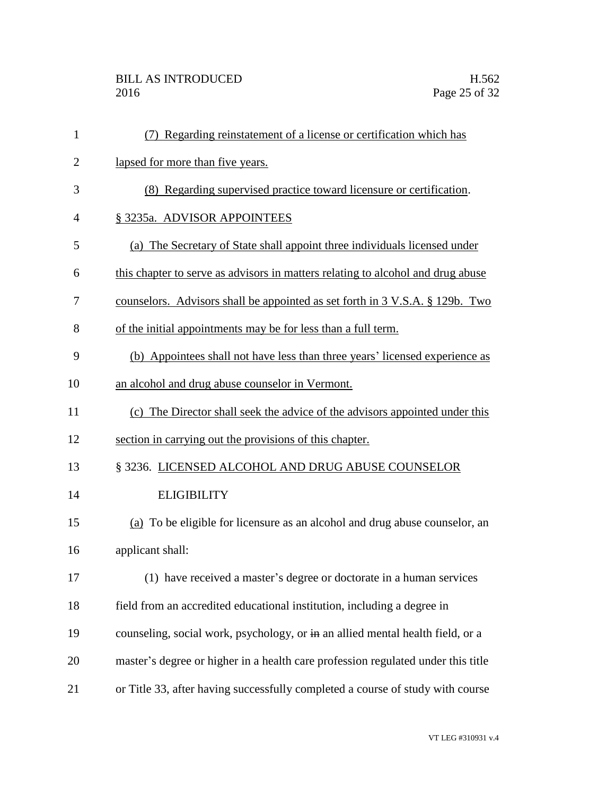## BILL AS INTRODUCED H.562<br>2016 Page 25 of 32

| 1              | (7) Regarding reinstatement of a license or certification which has              |
|----------------|----------------------------------------------------------------------------------|
| $\overline{2}$ | lapsed for more than five years.                                                 |
| 3              | (8) Regarding supervised practice toward licensure or certification.             |
| 4              | § 3235a. ADVISOR APPOINTEES                                                      |
| 5              | (a) The Secretary of State shall appoint three individuals licensed under        |
| 6              | this chapter to serve as advisors in matters relating to alcohol and drug abuse  |
| 7              | counselors. Advisors shall be appointed as set forth in 3 V.S.A. § 129b. Two     |
| 8              | of the initial appointments may be for less than a full term.                    |
| 9              | (b) Appointees shall not have less than three years' licensed experience as      |
| 10             | an alcohol and drug abuse counselor in Vermont.                                  |
| 11             | (c) The Director shall seek the advice of the advisors appointed under this      |
| 12             | section in carrying out the provisions of this chapter.                          |
| 13             | § 3236. LICENSED ALCOHOL AND DRUG ABUSE COUNSELOR                                |
| 14             | <b>ELIGIBILITY</b>                                                               |
| 15             | (a) To be eligible for licensure as an alcohol and drug abuse counselor, an      |
| 16             | applicant shall:                                                                 |
| 17             | (1) have received a master's degree or doctorate in a human services             |
| 18             | field from an accredited educational institution, including a degree in          |
| 19             | counseling, social work, psychology, or in an allied mental health field, or a   |
| 20             | master's degree or higher in a health care profession regulated under this title |
| 21             | or Title 33, after having successfully completed a course of study with course   |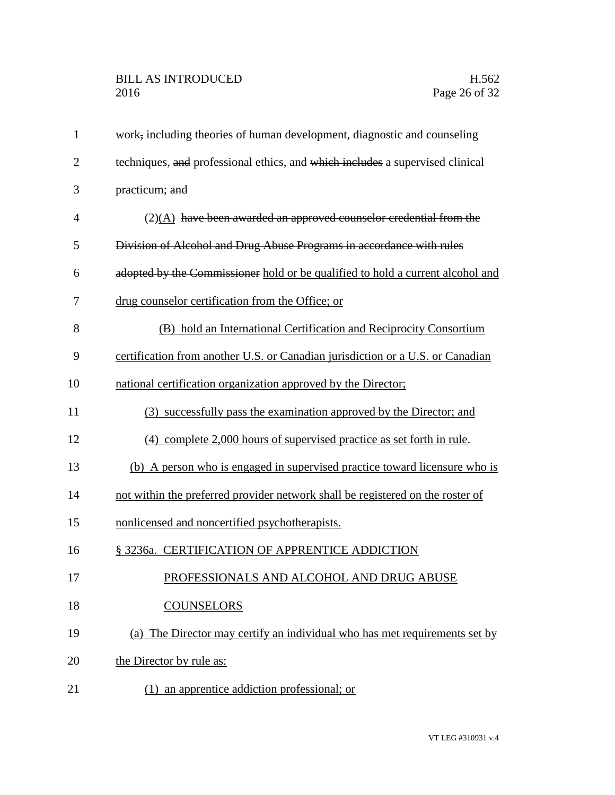| $\mathbf{1}$   | work, including theories of human development, diagnostic and counseling       |
|----------------|--------------------------------------------------------------------------------|
| $\overline{2}$ | techniques, and professional ethics, and which includes a supervised clinical  |
| 3              | practicum; and                                                                 |
| 4              | $(2)(A)$ have been awarded an approved counselor credential from the           |
| 5              | Division of Alcohol and Drug Abuse Programs in accordance with rules           |
| 6              | adopted by the Commissioner hold or be qualified to hold a current alcohol and |
| 7              | drug counselor certification from the Office; or                               |
| 8              | (B) hold an International Certification and Reciprocity Consortium             |
| 9              | certification from another U.S. or Canadian jurisdiction or a U.S. or Canadian |
| 10             | national certification organization approved by the Director;                  |
| 11             | (3) successfully pass the examination approved by the Director; and            |
| 12             | (4) complete 2,000 hours of supervised practice as set forth in rule.          |
| 13             | (b) A person who is engaged in supervised practice toward licensure who is     |
| 14             | not within the preferred provider network shall be registered on the roster of |
| 15             | nonlicensed and noncertified psychotherapists.                                 |
| 16             | § 3236a. CERTIFICATION OF APPRENTICE ADDICTION                                 |
| 17             | PROFESSIONALS AND ALCOHOL AND DRUG ABUSE                                       |
| 18             | <b>COUNSELORS</b>                                                              |
| 19             | (a) The Director may certify an individual who has met requirements set by     |
| 20             | the Director by rule as:                                                       |
| 21             | (1) an apprentice addiction professional; or                                   |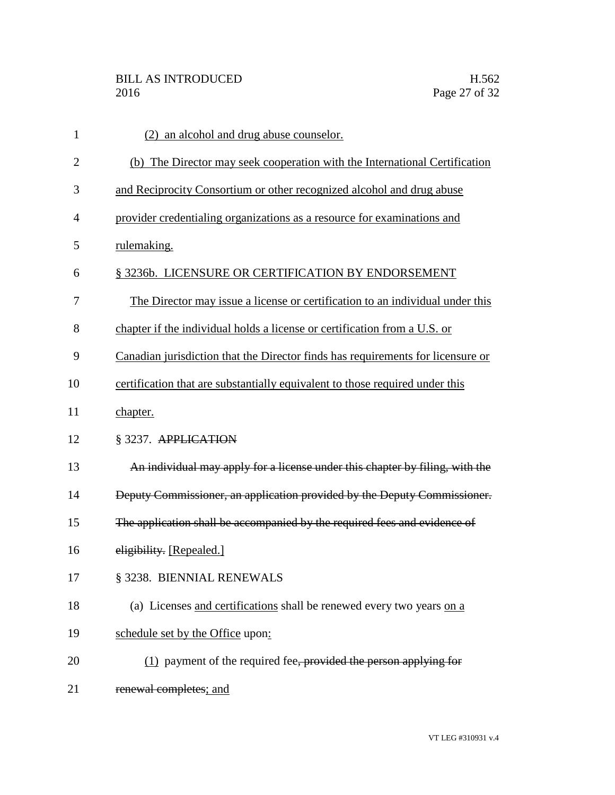| $\mathbf{1}$   | (2) an alcohol and drug abuse counselor.                                        |
|----------------|---------------------------------------------------------------------------------|
| $\overline{2}$ | (b) The Director may seek cooperation with the International Certification      |
| 3              | and Reciprocity Consortium or other recognized alcohol and drug abuse           |
| 4              | provider credentialing organizations as a resource for examinations and         |
| 5              | rulemaking.                                                                     |
| 6              | § 3236b. LICENSURE OR CERTIFICATION BY ENDORSEMENT                              |
| 7              | The Director may issue a license or certification to an individual under this   |
| 8              | chapter if the individual holds a license or certification from a U.S. or       |
| 9              | Canadian jurisdiction that the Director finds has requirements for licensure or |
| 10             | certification that are substantially equivalent to those required under this    |
| 11             | chapter.                                                                        |
| 12             | § 3237. APPLICATION                                                             |
| 13             | An individual may apply for a license under this chapter by filing, with the    |
| 14             | Deputy Commissioner, an application provided by the Deputy Commissioner.        |
| 15             | The application shall be accompanied by the required fees and evidence of       |
| 16             | eligibility. [Repealed.]                                                        |
| 17             | § 3238. BIENNIAL RENEWALS                                                       |
| 18             | (a) Licenses and certifications shall be renewed every two years on a           |
| 19             | schedule set by the Office upon:                                                |
| 20             | $(1)$ payment of the required fee, provided the person applying for             |
| 21             | renewal completes; and                                                          |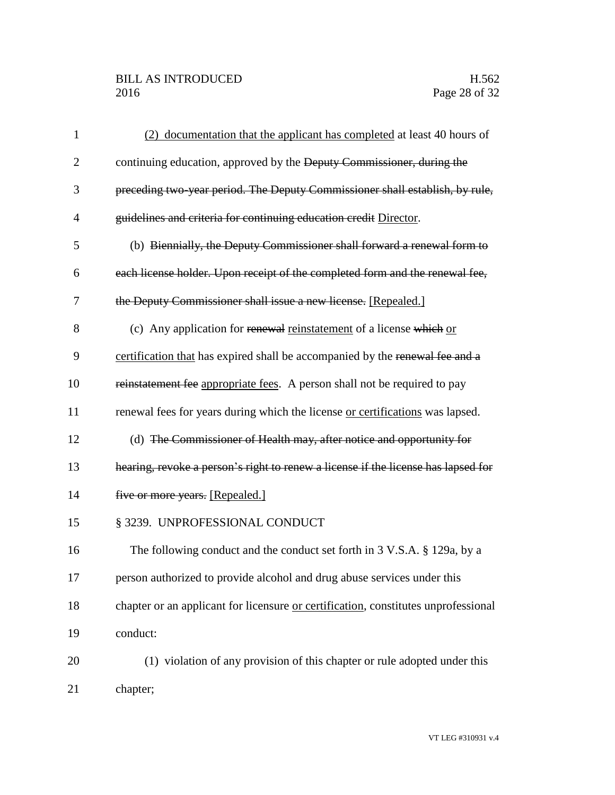## BILL AS INTRODUCED H.562<br>2016 Page 28 of 32

| $\mathbf{1}$   | (2) documentation that the applicant has completed at least 40 hours of            |
|----------------|------------------------------------------------------------------------------------|
| $\overline{2}$ | continuing education, approved by the Deputy Commissioner, during the              |
| 3              | preceding two-year period. The Deputy Commissioner shall establish, by rule,       |
| $\overline{4}$ | guidelines and criteria for continuing education credit Director.                  |
| 5              | (b) Biennially, the Deputy Commissioner shall forward a renewal form to            |
| 6              | each license holder. Upon receipt of the completed form and the renewal fee,       |
| 7              | the Deputy Commissioner shall issue a new license. [Repealed.]                     |
| 8              | (c) Any application for renewal reinstatement of a license which or                |
| 9              | certification that has expired shall be accompanied by the renewal fee and a       |
| 10             | reinstatement fee appropriate fees. A person shall not be required to pay          |
| 11             | renewal fees for years during which the license or certifications was lapsed.      |
| 12             | (d) The Commissioner of Health may, after notice and opportunity for               |
| 13             | hearing, revoke a person's right to renew a license if the license has lapsed for  |
| 14             | five or more years. [Repealed.]                                                    |
| 15             | § 3239. UNPROFESSIONAL CONDUCT                                                     |
| 16             | The following conduct and the conduct set forth in 3 V.S.A. § 129a, by a           |
| 17             | person authorized to provide alcohol and drug abuse services under this            |
| 18             | chapter or an applicant for licensure or certification, constitutes unprofessional |
| 19             | conduct:                                                                           |
| 20             | (1) violation of any provision of this chapter or rule adopted under this          |
| 21             | chapter;                                                                           |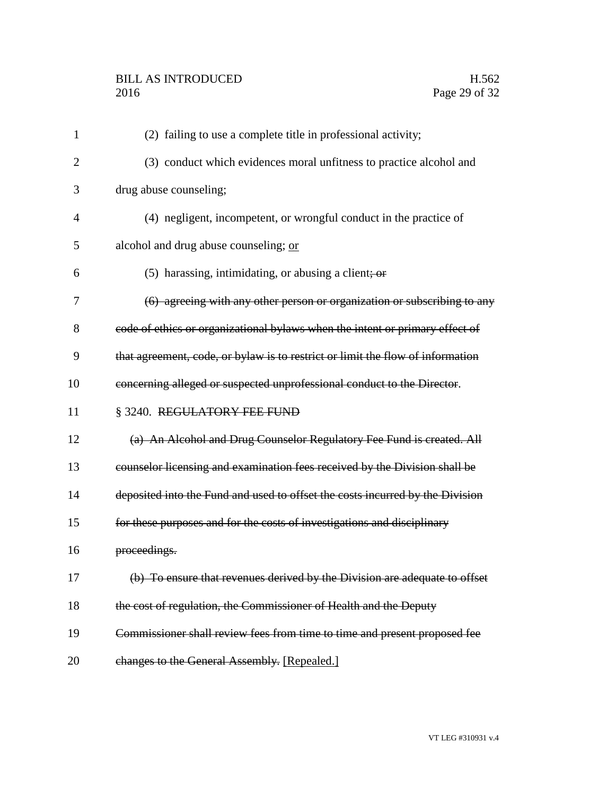| $\mathbf{1}$   | (2) failing to use a complete title in professional activity;                  |
|----------------|--------------------------------------------------------------------------------|
| $\overline{2}$ | (3) conduct which evidences moral unfitness to practice alcohol and            |
| 3              | drug abuse counseling;                                                         |
| 4              | (4) negligent, incompetent, or wrongful conduct in the practice of             |
| 5              | alcohol and drug abuse counseling; or                                          |
| 6              | $(5)$ harassing, intimidating, or abusing a client; or                         |
| 7              | (6) agreeing with any other person or organization or subscribing to any       |
| 8              | code of ethics or organizational bylaws when the intent or primary effect of   |
| 9              | that agreement, code, or bylaw is to restrict or limit the flow of information |
| 10             | concerning alleged or suspected unprofessional conduct to the Director.        |
| 11             | § 3240. REGULATORY FEE FUND                                                    |
| 12             | (a) An Alcohol and Drug Counselor Regulatory Fee Fund is created. All          |
| 13             | counselor licensing and examination fees received by the Division shall be     |
| 14             | deposited into the Fund and used to offset the costs incurred by the Division  |
| 15             | for these purposes and for the costs of investigations and disciplinary        |
| 16             | proceedings.                                                                   |
| 17             | (b) To ensure that revenues derived by the Division are adequate to offset     |
| 18             | the cost of regulation, the Commissioner of Health and the Deputy              |
| 19             | Commissioner shall review fees from time to time and present proposed fee      |
| 20             | changes to the General Assembly. [Repealed.]                                   |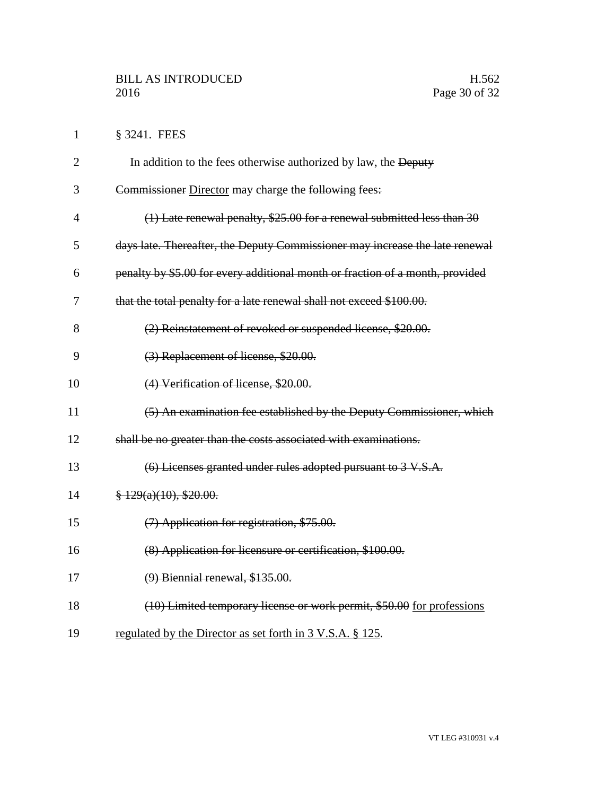1 § 3241. FEES

| $\overline{2}$ | In addition to the fees otherwise authorized by law, the Deputy               |
|----------------|-------------------------------------------------------------------------------|
| 3              | Commissioner Director may charge the following fees:                          |
| $\overline{4}$ | $(1)$ Late renewal penalty, \$25.00 for a renewal submitted less than 30      |
| 5              | days late. Thereafter, the Deputy Commissioner may increase the late renewal  |
| 6              | penalty by \$5.00 for every additional month or fraction of a month, provided |
| 7              | that the total penalty for a late renewal shall not exceed \$100.00.          |
| 8              | (2) Reinstatement of revoked or suspended license, \$20.00.                   |
| 9              | (3) Replacement of license, \$20.00.                                          |
| 10             | (4) Verification of license, \$20.00.                                         |
| 11             | (5) An examination fee established by the Deputy Commissioner, which          |
| 12             | shall be no greater than the costs associated with examinations.              |
| 13             | (6) Licenses granted under rules adopted pursuant to 3 V.S.A.                 |
| 14             | $\frac{8}{9}$ 129(a)(10), \$20.00.                                            |
| 15             | (7) Application for registration, \$75.00.                                    |
| 16             | (8) Application for licensure or certification, \$100.00.                     |
| 17             | $(9)$ Biennial renewal, \$135.00.                                             |
| 18             | (10) Limited temporary license or work permit, \$50.00 for professions        |
| 19             | regulated by the Director as set forth in 3 V.S.A. § 125.                     |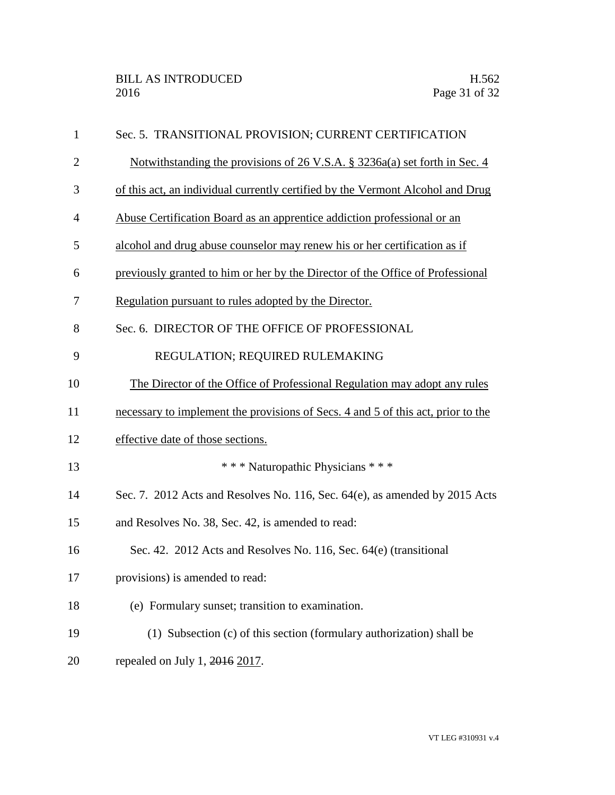| $\mathbf{1}$   | Sec. 5. TRANSITIONAL PROVISION; CURRENT CERTIFICATION                            |
|----------------|----------------------------------------------------------------------------------|
| $\overline{2}$ | Notwithstanding the provisions of 26 V.S.A. § 3236a(a) set forth in Sec. 4       |
| 3              | of this act, an individual currently certified by the Vermont Alcohol and Drug   |
| $\overline{4}$ | Abuse Certification Board as an apprentice addiction professional or an          |
| 5              | alcohol and drug abuse counselor may renew his or her certification as if        |
| 6              | previously granted to him or her by the Director of the Office of Professional   |
| 7              | Regulation pursuant to rules adopted by the Director.                            |
| 8              | Sec. 6. DIRECTOR OF THE OFFICE OF PROFESSIONAL                                   |
| 9              | REGULATION; REQUIRED RULEMAKING                                                  |
| 10             | The Director of the Office of Professional Regulation may adopt any rules        |
| 11             | necessary to implement the provisions of Secs. 4 and 5 of this act, prior to the |
| 12             | effective date of those sections.                                                |
| 13             | *** Naturopathic Physicians ***                                                  |
| 14             | Sec. 7. 2012 Acts and Resolves No. 116, Sec. 64(e), as amended by 2015 Acts      |
| 15             | and Resolves No. 38, Sec. 42, is amended to read:                                |
| 16             | Sec. 42. 2012 Acts and Resolves No. 116, Sec. 64(e) (transitional                |
| 17             | provisions) is amended to read:                                                  |
| 18             | (e) Formulary sunset; transition to examination.                                 |
| 19             | (1) Subsection (c) of this section (formulary authorization) shall be            |
| 20             | repealed on July 1, 2016 2017.                                                   |